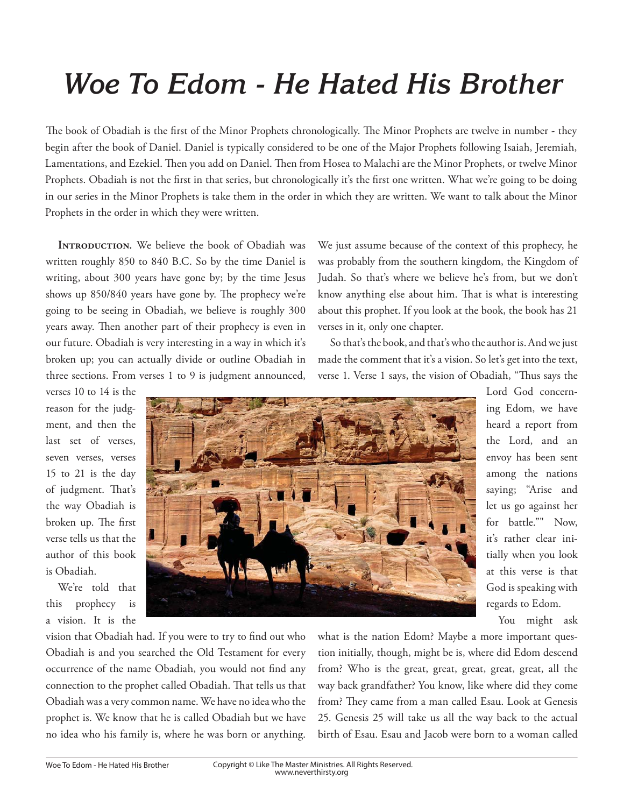## *Woe To Edom - He Hated His Brother*

The book of Obadiah is the first of the Minor Prophets chronologically. The Minor Prophets are twelve in number - they begin after the book of Daniel. Daniel is typically considered to be one of the Major Prophets following Isaiah, Jeremiah, Lamentations, and Ezekiel. Then you add on Daniel. Then from Hosea to Malachi are the Minor Prophets, or twelve Minor Prophets. Obadiah is not the first in that series, but chronologically it's the first one written. What we're going to be doing in our series in the Minor Prophets is take them in the order in which they are written. We want to talk about the Minor Prophets in the order in which they were written.

**INTRODUCTION.** We believe the book of Obadiah was written roughly 850 to 840 B.C. So by the time Daniel is writing, about 300 years have gone by; by the time Jesus shows up 850/840 years have gone by. The prophecy we're going to be seeing in Obadiah, we believe is roughly 300 years away. Then another part of their prophecy is even in our future. Obadiah is very interesting in a way in which it's broken up; you can actually divide or outline Obadiah in three sections. From verses 1 to 9 is judgment announced,

verses 10 to 14 is the reason for the judgment, and then the last set of verses, seven verses, verses 15 to 21 is the day of judgment. That's the way Obadiah is broken up. The first verse tells us that the author of this book is Obadiah.

We're told that this prophecy is a vision. It is the



We just assume because of the context of this prophecy, he was probably from the southern kingdom, the Kingdom of Judah. So that's where we believe he's from, but we don't know anything else about him. That is what is interesting about this prophet. If you look at the book, the book has 21 verses in it, only one chapter.

So that's the book, and that's who the author is. And we just made the comment that it's a vision. So let's get into the text, verse 1. Verse 1 says, the vision of Obadiah, "Thus says the

> Lord God concerning Edom, we have heard a report from the Lord, and an envoy has been sent among the nations saying; "Arise and let us go against her for battle."" Now, it's rather clear initially when you look at this verse is that God is speaking with regards to Edom.

You might ask

vision that Obadiah had. If you were to try to find out who Obadiah is and you searched the Old Testament for every occurrence of the name Obadiah, you would not find any connection to the prophet called Obadiah. That tells us that Obadiah was a very common name. We have no idea who the prophet is. We know that he is called Obadiah but we have no idea who his family is, where he was born or anything.

what is the nation Edom? Maybe a more important question initially, though, might be is, where did Edom descend from? Who is the great, great, great, great, great, all the way back grandfather? You know, like where did they come from? They came from a man called Esau. Look at Genesis 25. Genesis 25 will take us all the way back to the actual birth of Esau. Esau and Jacob were born to a woman called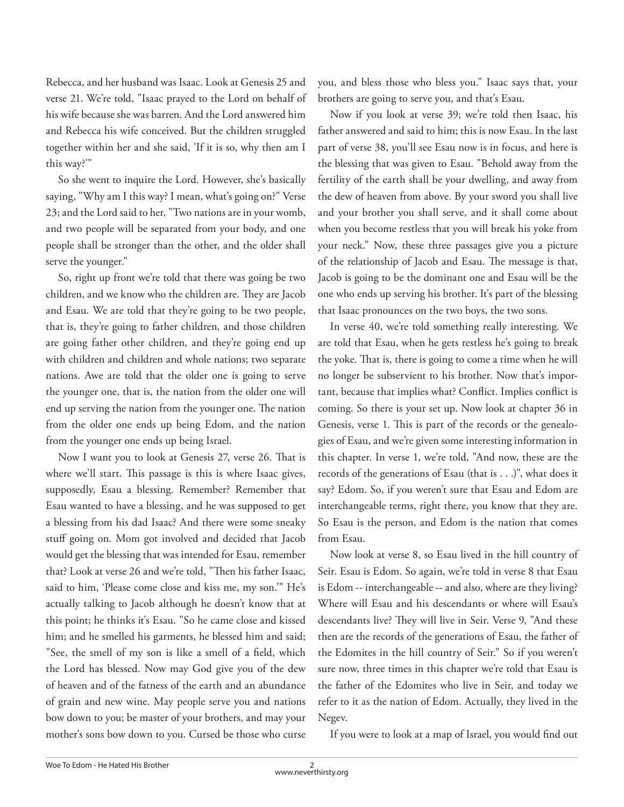Rebecca, and her husband was Isaac. Look at Genesis 25 and verse 21. We're told, "Isaac prayed to the Lord on behalf of his wife because she was barren. And the Lord answered him and Rebecca his wife conceived. But the children struggled together within her and she said, 'If it is so, why then am I this way?'"

So she went to inquire the Lord. However, she's basically saying, "Why am I this way? I mean, what's going on?" Verse 23; and the Lord said to her, "Two nations are in your womb, and two people will be separated from your body, and one people shall be stronger than the other, and the older shall serve the younger."

So, right up front we're told that there was going be two children, and we know who the children are. They are Jacob and Esau. We are told that they're going to be two people, that is, they're going to father children, and those children are going father other children, and they're going end up with children and children and whole nations; two separate nations. Awe are told that the older one is going to serve the younger one, that is, the nation from the older one will end up serving the nation from the younger one. The nation from the older one ends up being Edom, and the nation from the younger one ends up being Israel.

Now I want you to look at Genesis 27, verse 26. That is where we'll start. This passage is this is where Isaac gives, supposedly, Esau a blessing. Remember? Remember that Esau wanted to have a blessing, and he was supposed to get a blessing from his dad Isaac? And there were some sneaky stuff going on. Mom got involved and decided that Jacob would get the blessing that was intended for Esau, remember that? Look at verse 26 and we're told, "Then his father Isaac, said to him, 'Please come close and kiss me, my son.'" He's actually talking to Jacob although he doesn't know that at this point; he thinks it's Esau. "So he came close and kissed him; and he smelled his garments, he blessed him and said; "See, the smell of my son is like a smell of a field, which the Lord has blessed. Now may God give you of the dew of heaven and of the fatness of the earth and an abundance of grain and new wine. May people serve you and nations bow down to you; be master of your brothers, and may your mother's sons bow down to you. Cursed be those who curse

you, and bless those who bless you." Isaac says that, your brothers are going to serve you, and that's Esau.

Now if you look at verse 39; we're told then Isaac, his father answered and said to him; this is now Esau. In the last part of verse 38, you'll see Esau now is in focus, and here is the blessing that was given to Esau. "Behold away from the fertility of the earth shall be your dwelling, and away from the dew of heaven from above. By your sword you shall live and your brother you shall serve, and it shall come about when you become restless that you will break his yoke from your neck." Now, these three passages give you a picture of the relationship of Jacob and Esau. The message is that, Jacob is going to be the dominant one and Esau will be the one who ends up serving his brother. It's part of the blessing that Isaac pronounces on the two boys, the two sons.

In verse 40, we're told something really interesting. We are told that Esau, when he gets restless he's going to break the yoke. That is, there is going to come a time when he will no longer be subservient to his brother. Now that's important, because that implies what? Conflict. Implies conflict is coming. So there is your set up. Now look at chapter 36 in Genesis, verse 1. This is part of the records or the genealogies of Esau, and we're given some interesting information in this chapter. In verse 1, we're told, "And now, these are the records of the generations of Esau (that is . . .)", what does it say? Edom. So, if you weren't sure that Esau and Edom are interchangeable terms, right there, you know that they are. So Esau is the person, and Edom is the nation that comes from Esau.

Now look at verse 8, so Esau lived in the hill country of Seir. Esau is Edom. So again, we're told in verse 8 that Esau is Edom -- interchangeable -- and also, where are they living? Where will Esau and his descendants or where will Esau's descendants live? They will live in Seir. Verse 9, "And these then are the records of the generations of Esau, the father of the Edomites in the hill country of Seir." So if you weren't sure now, three times in this chapter we're told that Esau is the father of the Edomites who live in Seir, and today we refer to it as the nation of Edom. Actually, they lived in the Negev.

If you were to look at a map of Israel, you would find out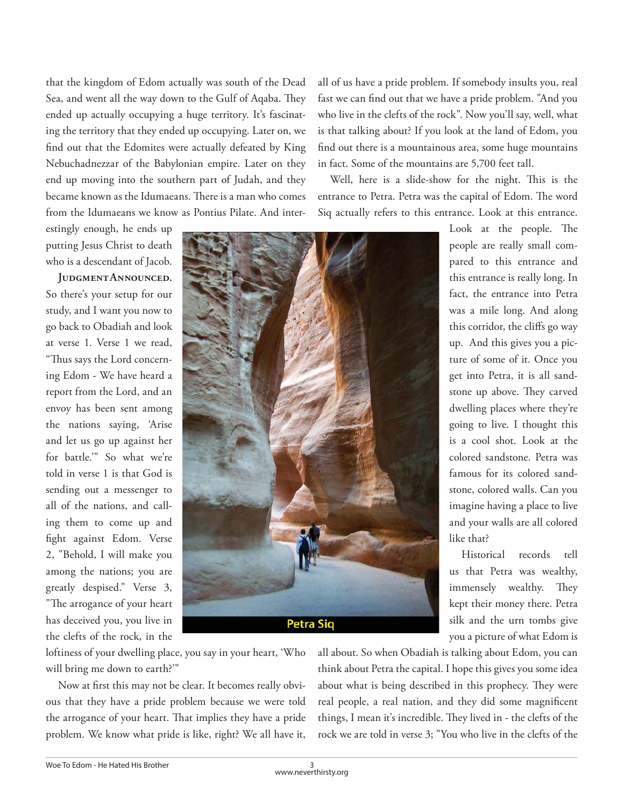that the kingdom of Edom actually was south of the Dead Sea, and went all the way down to the Gulf of Aqaba. They ended up actually occupying a huge territory. It's fascinating the territory that they ended up occupying. Later on, we find out that the Edomites were actually defeated by King Nebuchadnezzar of the Babylonian empire. Later on they end up moving into the southern part of Judah, and they became known as the Idumaeans. There is a man who comes from the Idumaeans we know as Pontius Pilate. And inter-

estingly enough, he ends up putting Jesus Christ to death who is a descendant of Jacob.

**Judgment Announced.**  So there's your setup for our study, and I want you now to go back to Obadiah and look at verse 1. Verse 1 we read, "Thus says the Lord concerning Edom - We have heard a report from the Lord, and an envoy has been sent among the nations saying, 'Arise and let us go up against her for battle.'" So what we're told in verse 1 is that God is sending out a messenger to all of the nations, and calling them to come up and fight against Edom. Verse 2, "Behold, I will make you among the nations; you are greatly despised." Verse 3, "The arrogance of your heart has deceived you, you live in the clefts of the rock, in the

**Petra Siq** 

all of us have a pride problem. If somebody insults you, real fast we can find out that we have a pride problem. "And you who live in the clefts of the rock". Now you'll say, well, what is that talking about? If you look at the land of Edom, you find out there is a mountainous area, some huge mountains in fact. Some of the mountains are 5,700 feet tall.

Well, here is a slide-show for the night. This is the entrance to Petra. Petra was the capital of Edom. The word Siq actually refers to this entrance. Look at this entrance.

> Look at the people. The people are really small compared to this entrance and this entrance is really long. In fact, the entrance into Petra was a mile long. And along this corridor, the cliffs go way up. And this gives you a picture of some of it. Once you get into Petra, it is all sandstone up above. They carved dwelling places where they're going to live. I thought this is a cool shot. Look at the colored sandstone. Petra was famous for its colored sandstone, colored walls. Can you imagine having a place to live and your walls are all colored like that?

> Historical records tell us that Petra was wealthy, immensely wealthy. They kept their money there. Petra silk and the urn tombs give you a picture of what Edom is

loftiness of your dwelling place, you say in your heart, 'Who will bring me down to earth?'"

Now at first this may not be clear. It becomes really obvious that they have a pride problem because we were told the arrogance of your heart. That implies they have a pride problem. We know what pride is like, right? We all have it, all about. So when Obadiah is talking about Edom, you can think about Petra the capital. I hope this gives you some idea about what is being described in this prophecy. They were real people, a real nation, and they did some magnificent things, I mean it's incredible. They lived in - the clefts of the rock we are told in verse 3; "You who live in the clefts of the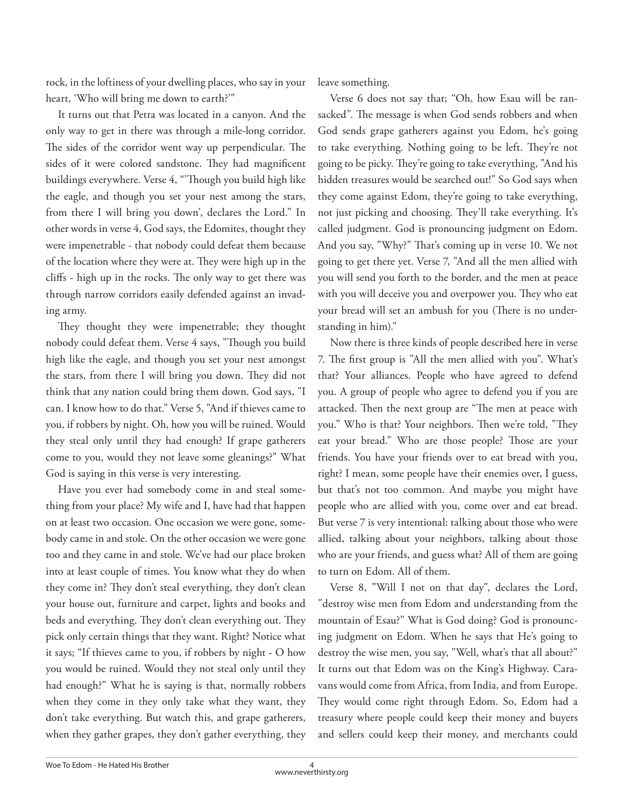rock, in the loftiness of your dwelling places, who say in your heart, 'Who will bring me down to earth?'"

It turns out that Petra was located in a canyon. And the only way to get in there was through a mile-long corridor. The sides of the corridor went way up perpendicular. The sides of it were colored sandstone. They had magnificent buildings everywhere. Verse 4, "Though you build high like the eagle, and though you set your nest among the stars, from there I will bring you down', declares the Lord." In other words in verse 4, God says, the Edomites, thought they were impenetrable - that nobody could defeat them because of the location where they were at. They were high up in the cliffs - high up in the rocks. The only way to get there was through narrow corridors easily defended against an invading army.

They thought they were impenetrable; they thought nobody could defeat them. Verse 4 says, "Though you build high like the eagle, and though you set your nest amongst the stars, from there I will bring you down. They did not think that any nation could bring them down. God says, "I can. I know how to do that." Verse 5, "And if thieves came to you, if robbers by night. Oh, how you will be ruined. Would they steal only until they had enough? If grape gatherers come to you, would they not leave some gleanings?" What God is saying in this verse is very interesting.

Have you ever had somebody come in and steal something from your place? My wife and I, have had that happen on at least two occasion. One occasion we were gone, somebody came in and stole. On the other occasion we were gone too and they came in and stole. We've had our place broken into at least couple of times. You know what they do when they come in? They don't steal everything, they don't clean your house out, furniture and carpet, lights and books and beds and everything. They don't clean everything out. They pick only certain things that they want. Right? Notice what it says; "If thieves came to you, if robbers by night - O how you would be ruined. Would they not steal only until they had enough?" What he is saying is that, normally robbers when they come in they only take what they want, they don't take everything. But watch this, and grape gatherers, when they gather grapes, they don't gather everything, they leave something.

Verse 6 does not say that; "Oh, how Esau will be ransacked". The message is when God sends robbers and when God sends grape gatherers against you Edom, he's going to take everything. Nothing going to be left. They're not going to be picky. They're going to take everything, "And his hidden treasures would be searched out!" So God says when they come against Edom, they're going to take everything, not just picking and choosing. They'll take everything. It's called judgment. God is pronouncing judgment on Edom. And you say, "Why?" That's coming up in verse 10. We not going to get there yet. Verse 7, "And all the men allied with you will send you forth to the border, and the men at peace with you will deceive you and overpower you. They who eat your bread will set an ambush for you (There is no understanding in him)."

Now there is three kinds of people described here in verse 7. The first group is "All the men allied with you". What's that? Your alliances. People who have agreed to defend you. A group of people who agree to defend you if you are attacked. Then the next group are "The men at peace with you." Who is that? Your neighbors. Then we're told, "They eat your bread." Who are those people? Those are your friends. You have your friends over to eat bread with you, right? I mean, some people have their enemies over, I guess, but that's not too common. And maybe you might have people who are allied with you, come over and eat bread. But verse 7 is very intentional: talking about those who were allied, talking about your neighbors, talking about those who are your friends, and guess what? All of them are going to turn on Edom. All of them.

Verse 8, "Will I not on that day", declares the Lord, "destroy wise men from Edom and understanding from the mountain of Esau?" What is God doing? God is pronouncing judgment on Edom. When he says that He's going to destroy the wise men, you say, "Well, what's that all about?" It turns out that Edom was on the King's Highway. Caravans would come from Africa, from India, and from Europe. They would come right through Edom. So, Edom had a treasury where people could keep their money and buyers and sellers could keep their money, and merchants could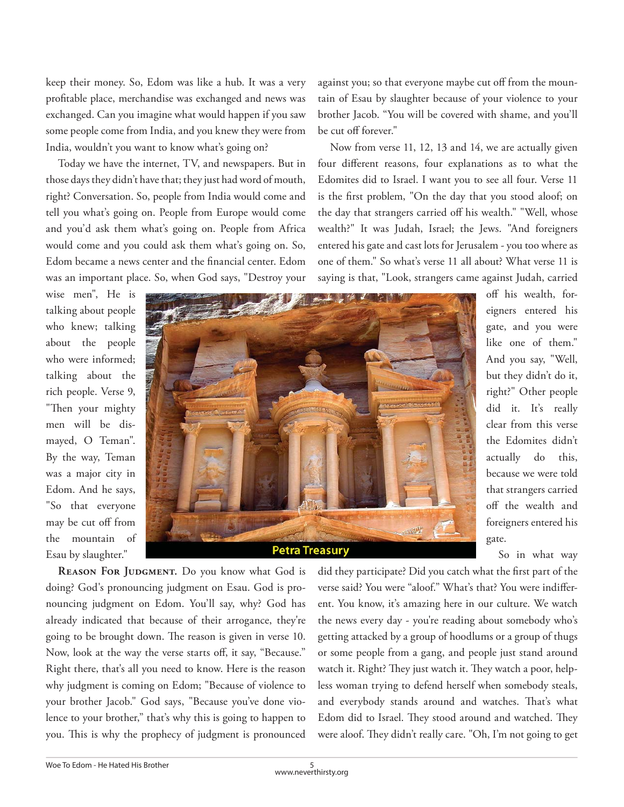keep their money. So, Edom was like a hub. It was a very profitable place, merchandise was exchanged and news was exchanged. Can you imagine what would happen if you saw some people come from India, and you knew they were from India, wouldn't you want to know what's going on?

Today we have the internet, TV, and newspapers. But in those days they didn't have that; they just had word of mouth, right? Conversation. So, people from India would come and tell you what's going on. People from Europe would come and you'd ask them what's going on. People from Africa would come and you could ask them what's going on. So, Edom became a news center and the financial center. Edom was an important place. So, when God says, "Destroy your against you; so that everyone maybe cut off from the mountain of Esau by slaughter because of your violence to your brother Jacob. "You will be covered with shame, and you'll be cut off forever."

Now from verse 11, 12, 13 and 14, we are actually given four different reasons, four explanations as to what the Edomites did to Israel. I want you to see all four. Verse 11 is the first problem, "On the day that you stood aloof; on the day that strangers carried off his wealth." "Well, whose wealth?" It was Judah, Israel; the Jews. "And foreigners entered his gate and cast lots for Jerusalem - you too where as one of them." So what's verse 11 all about? What verse 11 is saying is that, "Look, strangers came against Judah, carried

wise men", He is talking about people who knew; talking about the people who were informed; talking about the rich people. Verse 9, "Then your mighty men will be dismayed, O Teman". By the way, Teman was a major city in Edom. And he says, "So that everyone may be cut off from the mountain of Esau by slaughter."



**Petra Treasury** 

off his wealth, foreigners entered his gate, and you were like one of them." And you say, "Well, but they didn't do it, right?" Other people did it. It's really clear from this verse the Edomites didn't actually do this, because we were told that strangers carried off the wealth and foreigners entered his gate.

So in what way

REASON FOR JUDGMENT. Do you know what God is doing? God's pronouncing judgment on Esau. God is pronouncing judgment on Edom. You'll say, why? God has already indicated that because of their arrogance, they're going to be brought down. The reason is given in verse 10. Now, look at the way the verse starts off, it say, "Because." Right there, that's all you need to know. Here is the reason why judgment is coming on Edom; "Because of violence to your brother Jacob." God says, "Because you've done violence to your brother," that's why this is going to happen to you. This is why the prophecy of judgment is pronounced did they participate? Did you catch what the first part of the verse said? You were "aloof." What's that? You were indifferent. You know, it's amazing here in our culture. We watch the news every day - you're reading about somebody who's getting attacked by a group of hoodlums or a group of thugs or some people from a gang, and people just stand around watch it. Right? They just watch it. They watch a poor, helpless woman trying to defend herself when somebody steals, and everybody stands around and watches. That's what Edom did to Israel. They stood around and watched. They were aloof. They didn't really care. "Oh, I'm not going to get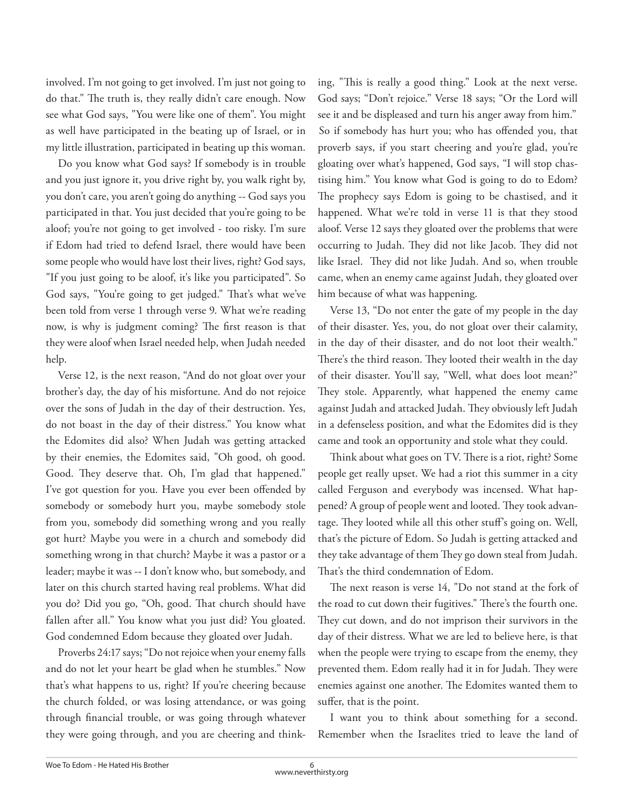involved. I'm not going to get involved. I'm just not going to do that." The truth is, they really didn't care enough. Now see what God says, "You were like one of them". You might as well have participated in the beating up of Israel, or in my little illustration, participated in beating up this woman.

Do you know what God says? If somebody is in trouble and you just ignore it, you drive right by, you walk right by, you don't care, you aren't going do anything -- God says you participated in that. You just decided that you're going to be aloof; you're not going to get involved - too risky. I'm sure if Edom had tried to defend Israel, there would have been some people who would have lost their lives, right? God says, "If you just going to be aloof, it's like you participated". So God says, "You're going to get judged." That's what we've been told from verse 1 through verse 9. What we're reading now, is why is judgment coming? The first reason is that they were aloof when Israel needed help, when Judah needed help.

Verse 12, is the next reason, "And do not gloat over your brother's day, the day of his misfortune. And do not rejoice over the sons of Judah in the day of their destruction. Yes, do not boast in the day of their distress." You know what the Edomites did also? When Judah was getting attacked by their enemies, the Edomites said, "Oh good, oh good. Good. They deserve that. Oh, I'm glad that happened." I've got question for you. Have you ever been offended by somebody or somebody hurt you, maybe somebody stole from you, somebody did something wrong and you really got hurt? Maybe you were in a church and somebody did something wrong in that church? Maybe it was a pastor or a leader; maybe it was -- I don't know who, but somebody, and later on this church started having real problems. What did you do? Did you go, "Oh, good. That church should have fallen after all." You know what you just did? You gloated. God condemned Edom because they gloated over Judah.

Proverbs 24:17 says; "Do not rejoice when your enemy falls and do not let your heart be glad when he stumbles." Now that's what happens to us, right? If you're cheering because the church folded, or was losing attendance, or was going through financial trouble, or was going through whatever they were going through, and you are cheering and thinking, "This is really a good thing." Look at the next verse. God says; "Don't rejoice." Verse 18 says; "Or the Lord will see it and be displeased and turn his anger away from him." So if somebody has hurt you; who has offended you, that proverb says, if you start cheering and you're glad, you're gloating over what's happened, God says, "I will stop chastising him." You know what God is going to do to Edom? The prophecy says Edom is going to be chastised, and it happened. What we're told in verse 11 is that they stood aloof. Verse 12 says they gloated over the problems that were occurring to Judah. They did not like Jacob. They did not like Israel. They did not like Judah. And so, when trouble came, when an enemy came against Judah, they gloated over him because of what was happening.

Verse 13, "Do not enter the gate of my people in the day of their disaster. Yes, you, do not gloat over their calamity, in the day of their disaster, and do not loot their wealth." There's the third reason. They looted their wealth in the day of their disaster. You'll say, "Well, what does loot mean?" They stole. Apparently, what happened the enemy came against Judah and attacked Judah. They obviously left Judah in a defenseless position, and what the Edomites did is they came and took an opportunity and stole what they could.

Think about what goes on TV. There is a riot, right? Some people get really upset. We had a riot this summer in a city called Ferguson and everybody was incensed. What happened? A group of people went and looted. They took advantage. They looted while all this other stuff's going on. Well, that's the picture of Edom. So Judah is getting attacked and they take advantage of them They go down steal from Judah. That's the third condemnation of Edom.

The next reason is verse 14, "Do not stand at the fork of the road to cut down their fugitives." There's the fourth one. They cut down, and do not imprison their survivors in the day of their distress. What we are led to believe here, is that when the people were trying to escape from the enemy, they prevented them. Edom really had it in for Judah. They were enemies against one another. The Edomites wanted them to suffer, that is the point.

I want you to think about something for a second. Remember when the Israelites tried to leave the land of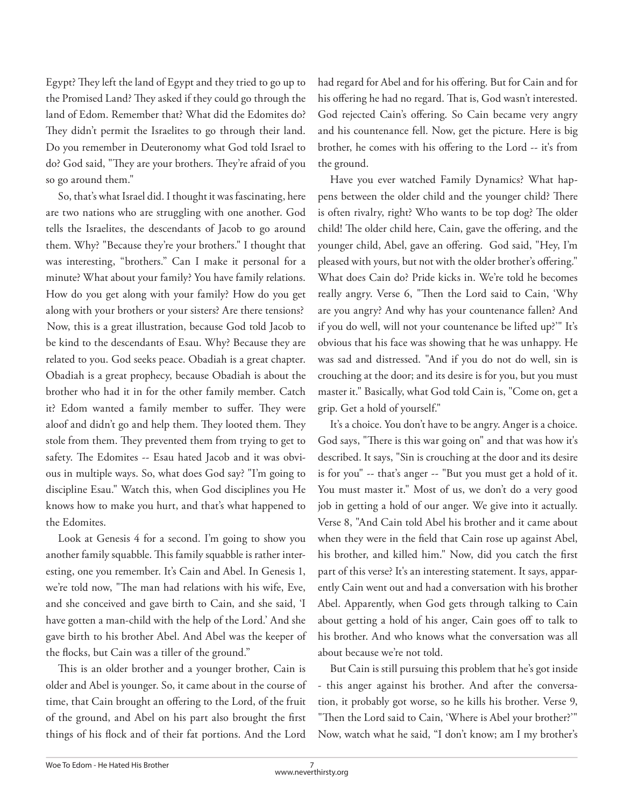Egypt? They left the land of Egypt and they tried to go up to the Promised Land? They asked if they could go through the land of Edom. Remember that? What did the Edomites do? They didn't permit the Israelites to go through their land. Do you remember in Deuteronomy what God told Israel to do? God said, "They are your brothers. They're afraid of you so go around them."

So, that's what Israel did. I thought it was fascinating, here are two nations who are struggling with one another. God tells the Israelites, the descendants of Jacob to go around them. Why? "Because they're your brothers." I thought that was interesting, "brothers." Can I make it personal for a minute? What about your family? You have family relations. How do you get along with your family? How do you get along with your brothers or your sisters? Are there tensions? Now, this is a great illustration, because God told Jacob to be kind to the descendants of Esau. Why? Because they are related to you. God seeks peace. Obadiah is a great chapter. Obadiah is a great prophecy, because Obadiah is about the brother who had it in for the other family member. Catch it? Edom wanted a family member to suffer. They were aloof and didn't go and help them. They looted them. They stole from them. They prevented them from trying to get to safety. The Edomites -- Esau hated Jacob and it was obvious in multiple ways. So, what does God say? "I'm going to discipline Esau." Watch this, when God disciplines you He knows how to make you hurt, and that's what happened to the Edomites.

Look at Genesis 4 for a second. I'm going to show you another family squabble. This family squabble is rather interesting, one you remember. It's Cain and Abel. In Genesis 1, we're told now, "The man had relations with his wife, Eve, and she conceived and gave birth to Cain, and she said, 'I have gotten a man-child with the help of the Lord.' And she gave birth to his brother Abel. And Abel was the keeper of the flocks, but Cain was a tiller of the ground."

This is an older brother and a younger brother, Cain is older and Abel is younger. So, it came about in the course of time, that Cain brought an offering to the Lord, of the fruit of the ground, and Abel on his part also brought the first things of his flock and of their fat portions. And the Lord had regard for Abel and for his offering. But for Cain and for his offering he had no regard. That is, God wasn't interested. God rejected Cain's offering. So Cain became very angry and his countenance fell. Now, get the picture. Here is big brother, he comes with his offering to the Lord -- it's from the ground.

Have you ever watched Family Dynamics? What happens between the older child and the younger child? There is often rivalry, right? Who wants to be top dog? The older child! The older child here, Cain, gave the offering, and the younger child, Abel, gave an offering. God said, "Hey, I'm pleased with yours, but not with the older brother's offering." What does Cain do? Pride kicks in. We're told he becomes really angry. Verse 6, "Then the Lord said to Cain, 'Why are you angry? And why has your countenance fallen? And if you do well, will not your countenance be lifted up?'" It's obvious that his face was showing that he was unhappy. He was sad and distressed. "And if you do not do well, sin is crouching at the door; and its desire is for you, but you must master it." Basically, what God told Cain is, "Come on, get a grip. Get a hold of yourself."

It's a choice. You don't have to be angry. Anger is a choice. God says, "There is this war going on" and that was how it's described. It says, "Sin is crouching at the door and its desire is for you" -- that's anger -- "But you must get a hold of it. You must master it." Most of us, we don't do a very good job in getting a hold of our anger. We give into it actually. Verse 8, "And Cain told Abel his brother and it came about when they were in the field that Cain rose up against Abel, his brother, and killed him." Now, did you catch the first part of this verse? It's an interesting statement. It says, apparently Cain went out and had a conversation with his brother Abel. Apparently, when God gets through talking to Cain about getting a hold of his anger, Cain goes off to talk to his brother. And who knows what the conversation was all about because we're not told.

But Cain is still pursuing this problem that he's got inside - this anger against his brother. And after the conversation, it probably got worse, so he kills his brother. Verse 9, "Then the Lord said to Cain, 'Where is Abel your brother?'" Now, watch what he said, "I don't know; am I my brother's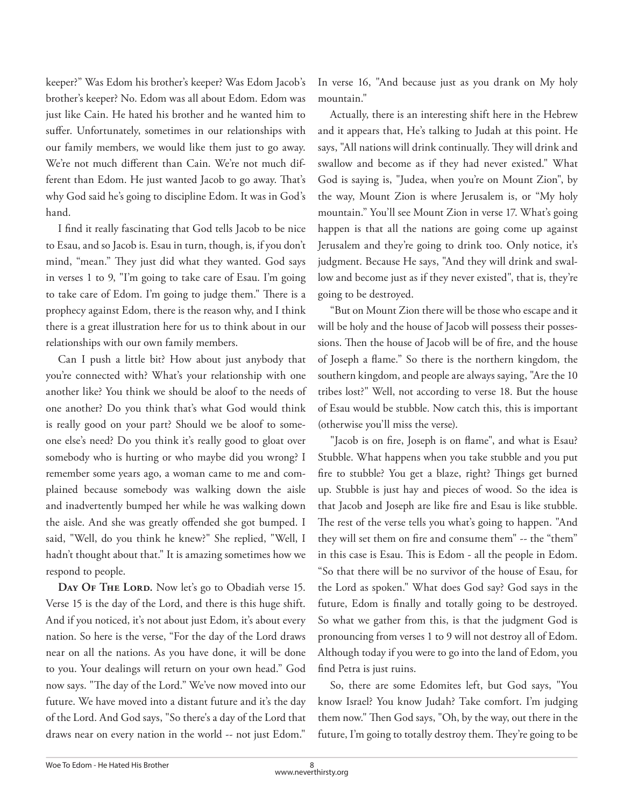keeper?" Was Edom his brother's keeper? Was Edom Jacob's brother's keeper? No. Edom was all about Edom. Edom was just like Cain. He hated his brother and he wanted him to suffer. Unfortunately, sometimes in our relationships with our family members, we would like them just to go away. We're not much different than Cain. We're not much different than Edom. He just wanted Jacob to go away. That's why God said he's going to discipline Edom. It was in God's hand.

I find it really fascinating that God tells Jacob to be nice to Esau, and so Jacob is. Esau in turn, though, is, if you don't mind, "mean." They just did what they wanted. God says in verses 1 to 9, "I'm going to take care of Esau. I'm going to take care of Edom. I'm going to judge them." There is a prophecy against Edom, there is the reason why, and I think there is a great illustration here for us to think about in our relationships with our own family members.

Can I push a little bit? How about just anybody that you're connected with? What's your relationship with one another like? You think we should be aloof to the needs of one another? Do you think that's what God would think is really good on your part? Should we be aloof to someone else's need? Do you think it's really good to gloat over somebody who is hurting or who maybe did you wrong? I remember some years ago, a woman came to me and complained because somebody was walking down the aisle and inadvertently bumped her while he was walking down the aisle. And she was greatly offended she got bumped. I said, "Well, do you think he knew?" She replied, "Well, I hadn't thought about that." It is amazing sometimes how we respond to people.

DAY OF THE LORD. Now let's go to Obadiah verse 15. Verse 15 is the day of the Lord, and there is this huge shift. And if you noticed, it's not about just Edom, it's about every nation. So here is the verse, "For the day of the Lord draws near on all the nations. As you have done, it will be done to you. Your dealings will return on your own head." God now says. "The day of the Lord." We've now moved into our future. We have moved into a distant future and it's the day of the Lord. And God says, "So there's a day of the Lord that draws near on every nation in the world -- not just Edom."

In verse 16, "And because just as you drank on My holy mountain."

Actually, there is an interesting shift here in the Hebrew and it appears that, He's talking to Judah at this point. He says, "All nations will drink continually. They will drink and swallow and become as if they had never existed." What God is saying is, "Judea, when you're on Mount Zion", by the way, Mount Zion is where Jerusalem is, or "My holy mountain." You'll see Mount Zion in verse 17. What's going happen is that all the nations are going come up against Jerusalem and they're going to drink too. Only notice, it's judgment. Because He says, "And they will drink and swallow and become just as if they never existed", that is, they're going to be destroyed.

"But on Mount Zion there will be those who escape and it will be holy and the house of Jacob will possess their possessions. Then the house of Jacob will be of fire, and the house of Joseph a flame." So there is the northern kingdom, the southern kingdom, and people are always saying, "Are the 10 tribes lost?" Well, not according to verse 18. But the house of Esau would be stubble. Now catch this, this is important (otherwise you'll miss the verse).

"Jacob is on fire, Joseph is on flame", and what is Esau? Stubble. What happens when you take stubble and you put fire to stubble? You get a blaze, right? Things get burned up. Stubble is just hay and pieces of wood. So the idea is that Jacob and Joseph are like fire and Esau is like stubble. The rest of the verse tells you what's going to happen. "And they will set them on fire and consume them" -- the "them" in this case is Esau. This is Edom - all the people in Edom. "So that there will be no survivor of the house of Esau, for the Lord as spoken." What does God say? God says in the future, Edom is finally and totally going to be destroyed. So what we gather from this, is that the judgment God is pronouncing from verses 1 to 9 will not destroy all of Edom. Although today if you were to go into the land of Edom, you find Petra is just ruins.

So, there are some Edomites left, but God says, "You know Israel? You know Judah? Take comfort. I'm judging them now." Then God says, "Oh, by the way, out there in the future, I'm going to totally destroy them. They're going to be